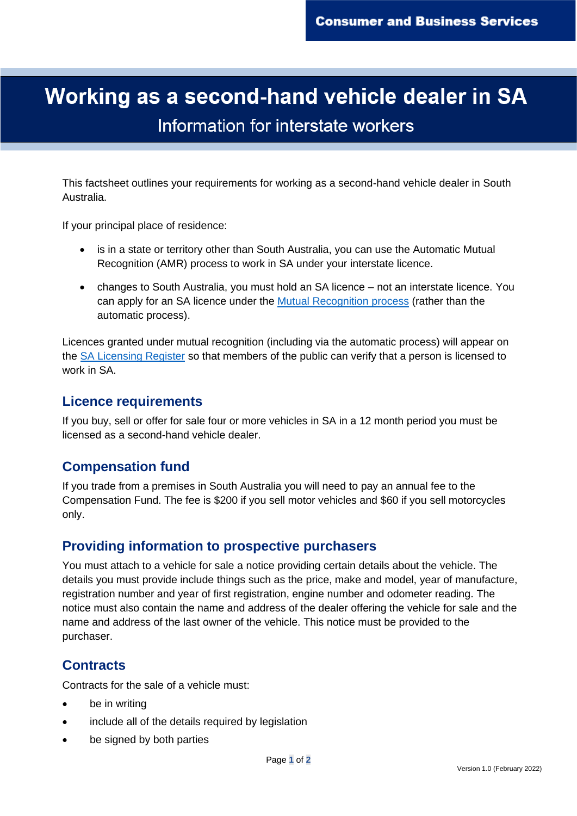# Working as a second-hand vehicle dealer in SA Information for interstate workers

OFFICIAL

This factsheet outlines your requirements for working as a second-hand vehicle dealer in South Australia.

If your principal place of residence:

- is in a state or territory other than South Australia, you can use the Automatic Mutual Recognition (AMR) process to work in SA under your interstate licence.
- changes to South Australia, you must hold an SA licence not an interstate licence. You can apply for an SA licence under the [Mutual Recognition process](https://www.sa.gov.au/topics/business-and-trade/licensing/interstate-and-overseas) (rather than the automatic process).

Licences granted under mutual recognition (including via the automatic process) will appear on the [SA Licensing Register](https://secure.cbs.sa.gov.au/OccLicPubReg/LicenceSearch.php?_ga=2.189402543.522123011.1625529565-2039058805.1598915856) so that members of the public can verify that a person is licensed to work in SA.

#### **Licence requirements**

If you buy, sell or offer for sale four or more vehicles in SA in a 12 month period you must be licensed as a second-hand vehicle dealer.

#### **Compensation fund**

If you trade from a premises in South Australia you will need to pay an annual fee to the Compensation Fund. The fee is \$200 if you sell motor vehicles and \$60 if you sell motorcycles only.

#### **Providing information to prospective purchasers**

You must attach to a vehicle for sale a notice providing certain details about the vehicle. The details you must provide include things such as the price, make and model, year of manufacture, registration number and year of first registration, engine number and odometer reading. The notice must also contain the name and address of the dealer offering the vehicle for sale and the name and address of the last owner of the vehicle. This notice must be provided to the purchaser.

#### **Contracts**

Contracts for the sale of a vehicle must:

- be in writing
- include all of the details required by legislation
- be signed by both parties